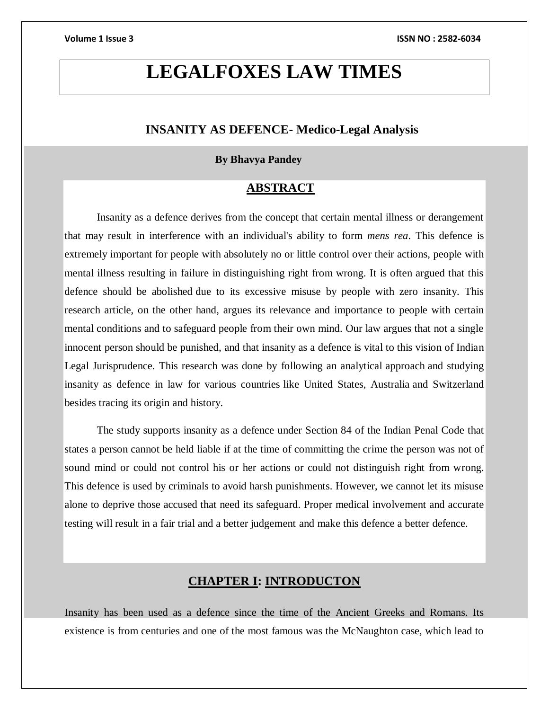# **LEGALFOXES LAW TIMES**

# **INSANITY AS DEFENCE- Medico-Legal Analysis**

### **By Bhavya Pandey**

# **ABSTRACT**

Insanity as a defence derives from the concept that certain mental illness or derangement that may result in interference with an individual's ability to form *mens rea*. This defence is extremely important for people with absolutely no or little control over their actions, people with mental illness resulting in failure in distinguishing right from wrong. It is often argued that this defence should be abolished due to its excessive misuse by people with zero insanity. This research article, on the other hand, argues its relevance and importance to people with certain mental conditions and to safeguard people from their own mind. Our law argues that not a single innocent person should be punished, and that insanity as a defence is vital to this vision of Indian Legal Jurisprudence. This research was done by following an analytical approach and studying insanity as defence in law for various countries like United States, Australia and Switzerland besides tracing its origin and history.

The study supports insanity as a defence under Section 84 of the Indian Penal Code that states a person cannot be held liable if at the time of committing the crime the person was not of sound mind or could not control his or her actions or could not distinguish right from wrong. This defence is used by criminals to avoid harsh punishments. However, we cannot let its misuse alone to deprive those accused that need its safeguard. Proper medical involvement and accurate testing will result in a fair trial and a better judgement and make this defence a better defence.

# **CHAPTER I: INTRODUCTON**

Insanity has been used as a defence since the time of the Ancient Greeks and Romans. Its existence is from centuries and one of the most famous was the McNaughton case, which lead to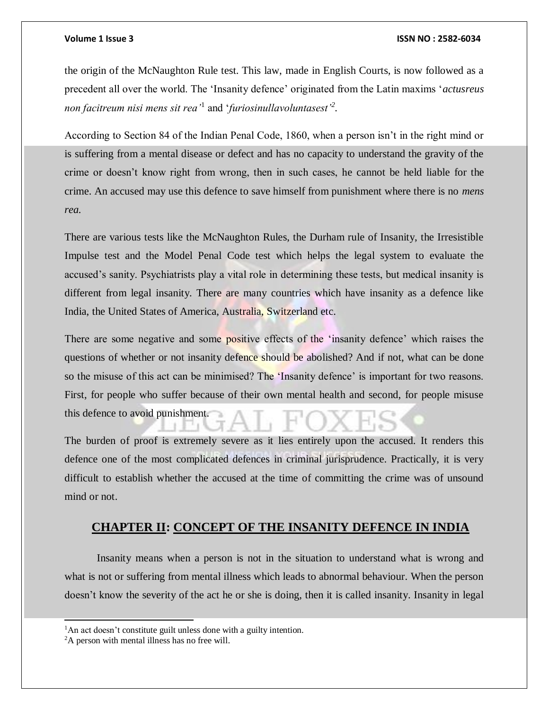the origin of the McNaughton Rule test. This law, made in English Courts, is now followed as a precedent all over the world. The 'Insanity defence' originated from the Latin maxims '*actusreus non facitreum nisi mens sit rea'*<sup>1</sup> and '*furiosinullavoluntasest'<sup>2</sup> .*

According to Section 84 of the Indian Penal Code, 1860, when a person isn't in the right mind or is suffering from a mental disease or defect and has no capacity to understand the gravity of the crime or doesn't know right from wrong, then in such cases, he cannot be held liable for the crime. An accused may use this defence to save himself from punishment where there is no *mens rea.* 

There are various tests like the McNaughton Rules, the Durham rule of Insanity, the Irresistible Impulse test and the Model Penal Code test which helps the legal system to evaluate the accused's sanity. Psychiatrists play a vital role in determining these tests, but medical insanity is different from legal insanity. There are many countries which have insanity as a defence like India, the United States of America, Australia, Switzerland etc.

There are some negative and some positive effects of the 'insanity defence' which raises the questions of whether or not insanity defence should be abolished? And if not, what can be done so the misuse of this act can be minimised? The 'Insanity defence' is important for two reasons. First, for people who suffer because of their own mental health and second, for people misuse this defence to avoid punishment.

The burden of proof is extremely severe as it lies entirely upon the accused. It renders this defence one of the most complicated defences in criminal jurisprudence. Practically, it is very difficult to establish whether the accused at the time of committing the crime was of unsound mind or not.

## **CHAPTER II: CONCEPT OF THE INSANITY DEFENCE IN INDIA**

Insanity means when a person is not in the situation to understand what is wrong and what is not or suffering from mental illness which leads to abnormal behaviour. When the person doesn't know the severity of the act he or she is doing, then it is called insanity. Insanity in legal

l

<sup>&</sup>lt;sup>1</sup>An act doesn't constitute guilt unless done with a guilty intention.

<sup>&</sup>lt;sup>2</sup>A person with mental illness has no free will.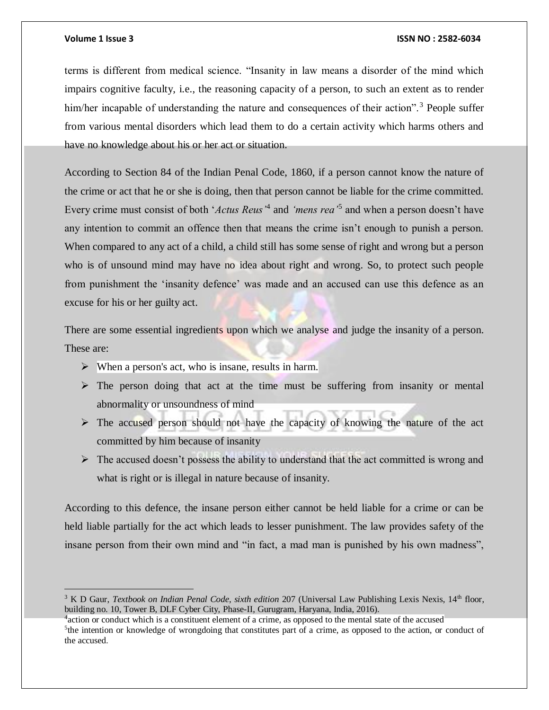$\overline{a}$ 

### **Volume 1 Issue 3 ISSN NO : 2582-6034**

terms is different from medical science. "Insanity in law means a disorder of the mind which impairs cognitive faculty, i.e., the reasoning capacity of a person, to such an extent as to render him/her incapable of understanding the nature and consequences of their action".<sup>3</sup> People suffer from various mental disorders which lead them to do a certain activity which harms others and have no knowledge about his or her act or situation.

According to Section 84 of the Indian Penal Code, 1860, if a person cannot know the nature of the crime or act that he or she is doing, then that person cannot be liable for the crime committed. Every crime must consist of both '*Actus Reus'*<sup>4</sup> and *'mens rea'*<sup>5</sup> and when a person doesn't have any intention to commit an offence then that means the crime isn't enough to punish a person. When compared to any act of a child, a child still has some sense of right and wrong but a person who is of unsound mind may have no idea about right and wrong. So, to protect such people from punishment the 'insanity defence' was made and an accused can use this defence as an excuse for his or her guilty act.

There are some essential ingredients upon which we analyse and judge the insanity of a person. These are:

- $\triangleright$  When a person's act, who is insane, results in harm.
- $\triangleright$  The person doing that act at the time must be suffering from insanity or mental abnormality or unsoundness of mind
- $\triangleright$  The accused person should not have the capacity of knowing the nature of the act committed by him because of insanity
- $\triangleright$  The accused doesn't possess the ability to understand that the act committed is wrong and what is right or is illegal in nature because of insanity.

According to this defence, the insane person either cannot be held liable for a crime or can be held liable partially for the act which leads to lesser punishment. The law provides safety of the insane person from their own mind and "in fact, a mad man is punished by his own madness",

<sup>&</sup>lt;sup>3</sup> K D Gaur, *Textbook on Indian Penal Code, sixth edition* 207 (Universal Law Publishing Lexis Nexis, 14<sup>th</sup> floor, building no. 10, Tower B, DLF Cyber City, Phase-II, Gurugram, Haryana, India, 2016).

<sup>&</sup>lt;sup>4</sup> action or conduct which is a constituent element of a crime, as opposed to the mental state of the accused <sup>5</sup>the intention or knowledge of wrongdoing that constitutes part of a crime, as opposed to the action, or conduct of the accused.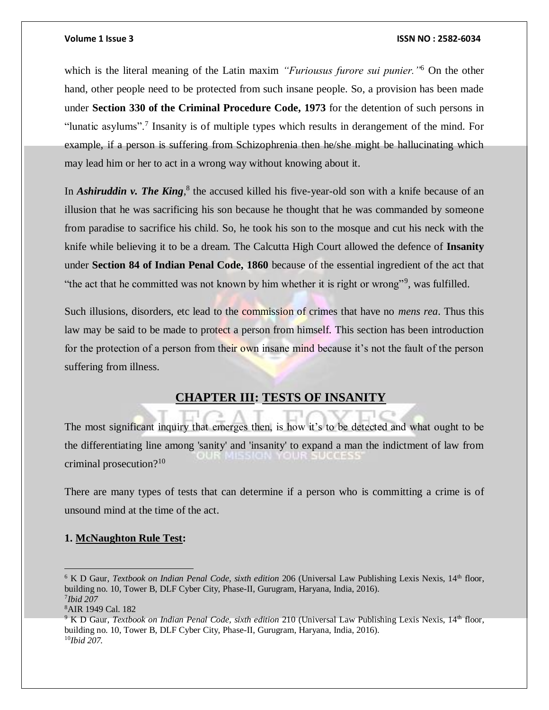which is the literal meaning of the Latin maxim *"Furiousus furore sui punier."*<sup>6</sup> On the other hand, other people need to be protected from such insane people. So, a provision has been made under **Section 330 of the Criminal Procedure Code, 1973** for the detention of such persons in "lunatic asylums".<sup>7</sup> Insanity is of multiple types which results in derangement of the mind. For example, if a person is suffering from Schizophrenia then he/she might be hallucinating which may lead him or her to act in a wrong way without knowing about it.

In *Ashiruddin v. The King*,<sup>8</sup> the accused killed his five-year-old son with a knife because of an illusion that he was sacrificing his son because he thought that he was commanded by someone from paradise to sacrifice his child. So, he took his son to the mosque and cut his neck with the knife while believing it to be a dream. The Calcutta High Court allowed the defence of **Insanity** under **Section 84 of Indian Penal Code, 1860** because of the essential ingredient of the act that "the act that he committed was not known by him whether it is right or wrong"<sup>9</sup>, was fulfilled.

Such illusions, disorders, etc lead to the commission of crimes that have no *mens rea*. Thus this law may be said to be made to protect a person from himself. This section has been introduction for the protection of a person from their own insane mind because it's not the fault of the person suffering from illness.

## **CHAPTER III: TESTS OF INSANITY**

The most significant inquiry that emerges then, is how it's to be detected and what ought to be the differentiating line among 'sanity' and 'insanity' to expand a man the indictment of law from DUR MISSION YOUR SUCCESS criminal prosecution?<sup>10</sup>

There are many types of tests that can determine if a person who is committing a crime is of unsound mind at the time of the act.

### **1. McNaughton Rule Test:**

<sup>&</sup>lt;sup>6</sup> K D Gaur, *Textbook on Indian Penal Code, sixth edition* 206 (Universal Law Publishing Lexis Nexis, 14<sup>th</sup> floor, building no. 10, Tower B, DLF Cyber City, Phase-II, Gurugram, Haryana, India, 2016). 7 *Ibid 207*

<sup>8</sup>AIR 1949 Cal. 182

<sup>&</sup>lt;sup>9</sup> K D Gaur, *Textbook on Indian Penal Code, sixth edition* 210 (Universal Law Publishing Lexis Nexis, 14<sup>th</sup> floor, building no. 10, Tower B, DLF Cyber City, Phase-II, Gurugram, Haryana, India, 2016). 10*Ibid 207.*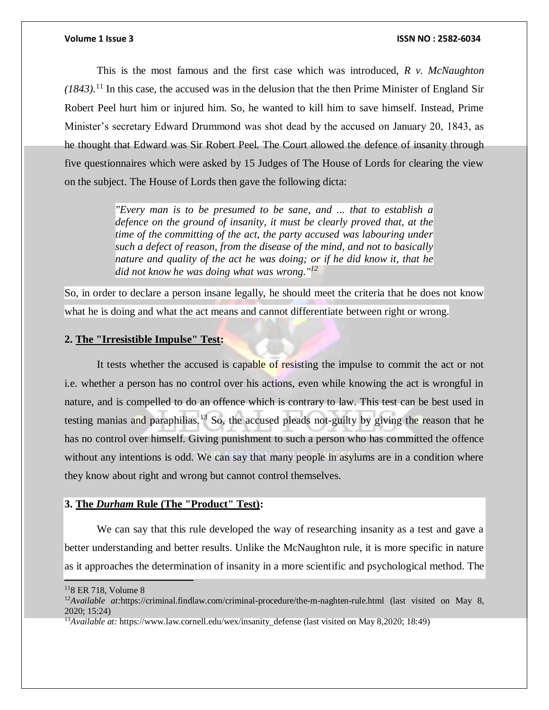This is the most famous and the first case which was introduced, *R v. McNaughton (1843).*<sup>11</sup> In this case, the accused was in the delusion that the then Prime Minister of England Sir Robert Peel hurt him or injured him. So, he wanted to kill him to save himself. Instead, Prime Minister's secretary Edward Drummond was shot dead by the accused on January 20, 1843, as he thought that Edward was Sir Robert Peel. The Court allowed the defence of insanity through five questionnaires which were asked by 15 Judges of The House of Lords for clearing the view on the subject. The House of Lords then gave the following dicta:

> *"Every man is to be presumed to be sane, and ... that to establish a defence on the ground of insanity, it must be clearly proved that, at the time of the committing of the act, the party accused was labouring under such a defect of reason, from the disease of the mind, and not to basically nature and quality of the act he was doing; or if he did know it, that he did not know he was doing what was wrong."<sup>12</sup>*

So, in order to declare a person insane legally, he should meet the criteria that he does not know what he is doing and what the act means and cannot differentiate between right or wrong.

### **2. The "Irresistible Impulse" Test:**

It tests whether the accused is capable of resisting the impulse to commit the act or not i.e. whether a person has no control over his actions, even while knowing the act is wrongful in nature, and is compelled to do an offence which is contrary to law. This test can be best used in testing manias and paraphilias.<sup>13</sup> So, the accused pleads not-guilty by giving the reason that he has no control over himself. Giving punishment to such a person who has committed the offence without any intentions is odd. We can say that many people in asylums are in a condition where they know about right and wrong but cannot control themselves.

### **3. The** *Durham* **Rule (The "Product" Test):**

We can say that this rule developed the way of researching insanity as a test and gave a better understanding and better results. Unlike the McNaughton rule, it is more specific in nature as it approaches the determination of insanity in a more scientific and psychological method. The

 $118$  ER 718, Volume 8

<sup>&</sup>lt;sup>12</sup>Available at:https://criminal.findlaw.com/criminal-procedure/the-m-naghten-rule.html (last visited on May 8, 2020; 15:24)

<sup>13</sup>*Available at:* https://www.law.cornell.edu/wex/insanity\_defense (last visited on May 8,2020; 18:49)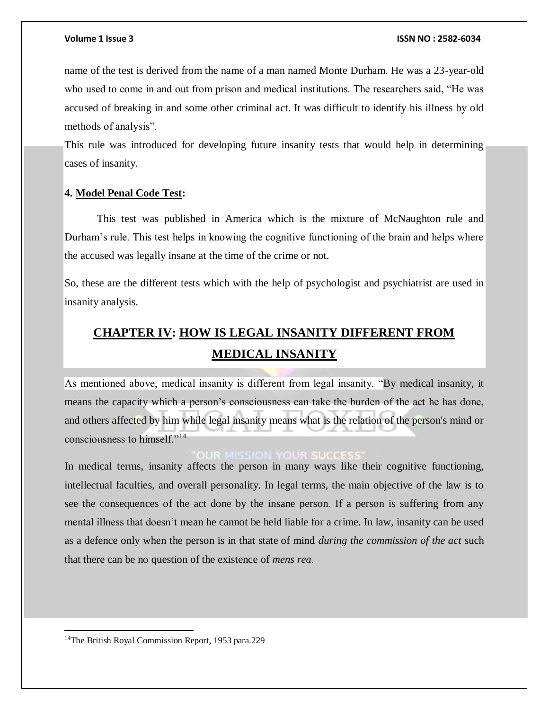name of the test is derived from the name of a man named Monte Durham. He was a 23-year-old who used to come in and out from prison and medical institutions. The researchers said, "He was accused of breaking in and some other criminal act. It was difficult to identify his illness by old methods of analysis".

This rule was introduced for developing future insanity tests that would help in determining cases of insanity.

### **4. Model Penal Code Test:**

This test was published in America which is the mixture of McNaughton rule and Durham's rule. This test helps in knowing the cognitive functioning of the brain and helps where the accused was legally insane at the time of the crime or not.

So, these are the different tests which with the help of psychologist and psychiatrist are used in insanity analysis.

# **CHAPTER IV: HOW IS LEGAL INSANITY DIFFERENT FROM MEDICAL INSANITY**

As mentioned above, medical insanity is different from legal insanity. "By medical insanity, it means the capacity which a person's consciousness can take the burden of the act he has done, and others affected by him while legal insanity means what is the relation of the person's mind or consciousness to himself."<sup>14</sup>

### **R MISSION YOUR SUCCES**

In medical terms, insanity affects the person in many ways like their cognitive functioning, intellectual faculties, and overall personality. In legal terms, the main objective of the law is to see the consequences of the act done by the insane person. If a person is suffering from any mental illness that doesn't mean he cannot be held liable for a crime. In law, insanity can be used as a defence only when the person is in that state of mind *during the commission of the act* such that there can be no question of the existence of *mens rea*.

<sup>&</sup>lt;sup>14</sup>The British Royal Commission Report, 1953 para.229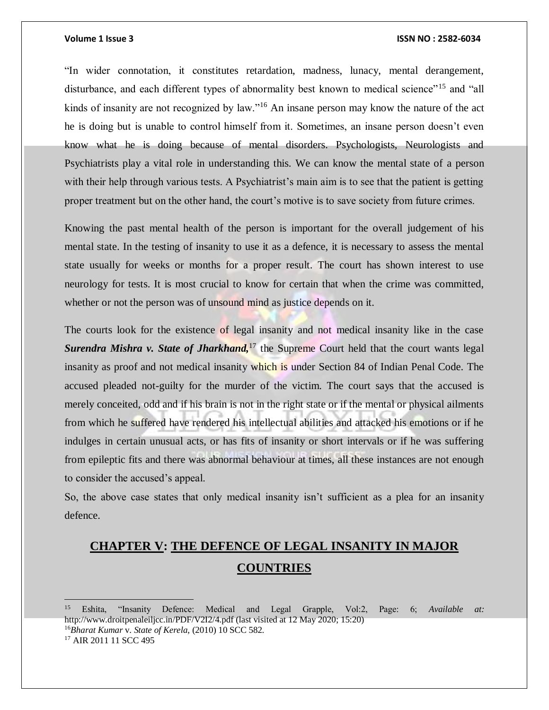### **Volume 1 Issue 3 ISSN NO : 2582-6034**

"In wider connotation, it constitutes retardation, madness, lunacy, mental derangement, disturbance, and each different types of abnormality best known to medical science"<sup>15</sup> and "all kinds of insanity are not recognized by law."<sup>16</sup> An insane person may know the nature of the act he is doing but is unable to control himself from it. Sometimes, an insane person doesn't even know what he is doing because of mental disorders. Psychologists, Neurologists and Psychiatrists play a vital role in understanding this. We can know the mental state of a person with their help through various tests. A Psychiatrist's main aim is to see that the patient is getting proper treatment but on the other hand, the court's motive is to save society from future crimes.

Knowing the past mental health of the person is important for the overall judgement of his mental state. In the testing of insanity to use it as a defence, it is necessary to assess the mental state usually for weeks or months for a proper result. The court has shown interest to use neurology for tests. It is most crucial to know for certain that when the crime was committed, whether or not the person was of unsound mind as justice depends on it.

The courts look for the existence of legal insanity and not medical insanity like in the case **Surendra Mishra v. State of Jharkhand,**<sup>17</sup> the Supreme Court held that the court wants legal insanity as proof and not medical insanity which is under Section 84 of Indian Penal Code. The accused pleaded not-guilty for the murder of the victim. The court says that the accused is merely conceited, odd and if his brain is not in the right state or if the mental or physical ailments from which he suffered have rendered his intellectual abilities and attacked his emotions or if he indulges in certain unusual acts, or has fits of insanity or short intervals or if he was suffering from epileptic fits and there was abnormal behaviour at times, all these instances are not enough to consider the accused's appeal.

So, the above case states that only medical insanity isn't sufficient as a plea for an insanity defence.

# **CHAPTER V: THE DEFENCE OF LEGAL INSANITY IN MAJOR COUNTRIES**

<sup>15</sup> Eshita, "Insanity Defence: Medical and Legal Grapple, Vol:2, Page: 6; *Available at:* http://www.droitpenaleiljcc.in/PDF/V2I2/4.pdf (last visited at 12 May 2020; 15:20) <sup>16</sup>*Bharat Kumar* v. *State of Kerela*, (2010) 10 SCC 582. <sup>17</sup> AIR 2011 11 SCC 495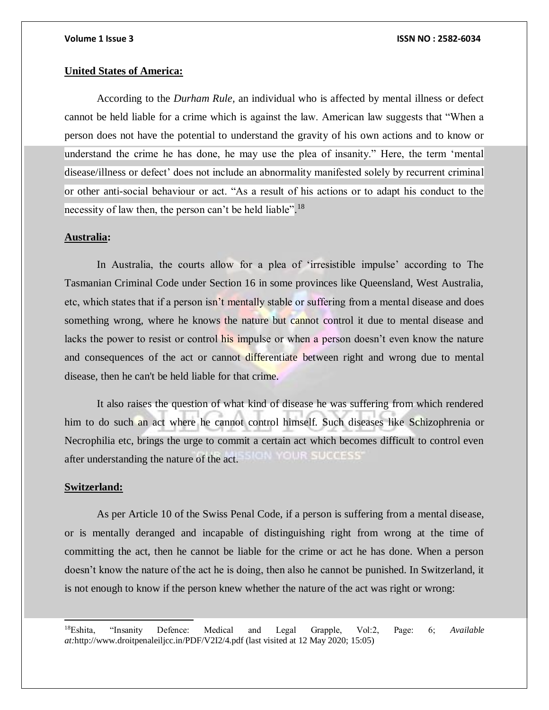### **United States of America:**

According to the *Durham Rule,* an individual who is affected by mental illness or defect cannot be held liable for a crime which is against the law. American law suggests that "When a person does not have the potential to understand the gravity of his own actions and to know or understand the crime he has done, he may use the plea of insanity." Here, the term 'mental disease/illness or defect' does not include an abnormality manifested solely by recurrent criminal or other anti-social behaviour or act. "As a result of his actions or to adapt his conduct to the necessity of law then, the person can't be held liable".<sup>18</sup>

### **Australia:**

In Australia, the courts allow for a plea of 'irresistible impulse' according to The Tasmanian Criminal Code under Section 16 in some provinces like Queensland, West Australia, etc, which states that if a person isn't mentally stable or suffering from a mental disease and does something wrong, where he knows the nature but cannot control it due to mental disease and lacks the power to resist or control his impulse or when a person doesn't even know the nature and consequences of the act or cannot differentiate between right and wrong due to mental disease, then he can't be held liable for that crime.

It also raises the question of what kind of disease he was suffering from which rendered him to do such an act where he cannot control himself. Such diseases like Schizophrenia or Necrophilia etc, brings the urge to commit a certain act which becomes difficult to control even OUR SUCCESS' after understanding the nature of the act.

### **Switzerland:**

l

As per Article 10 of the Swiss Penal Code, if a person is suffering from a mental disease, or is mentally deranged and incapable of distinguishing right from wrong at the time of committing the act, then he cannot be liable for the crime or act he has done. When a person doesn't know the nature of the act he is doing, then also he cannot be punished. In Switzerland, it is not enough to know if the person knew whether the nature of the act was right or wrong:

<sup>18</sup>Eshita, "Insanity Defence: Medical and Legal Grapple, Vol:2, Page: 6; *Available at:*http://www.droitpenaleiljcc.in/PDF/V2I2/4.pdf (last visited at 12 May 2020; 15:05)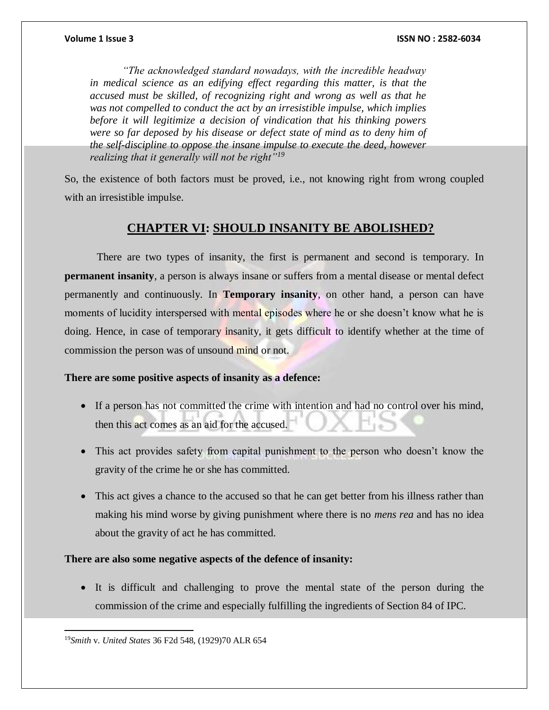*"The acknowledged standard nowadays, with the incredible headway in medical science as an edifying effect regarding this matter, is that the accused must be skilled, of recognizing right and wrong as well as that he was not compelled to conduct the act by an irresistible impulse, which implies before it will legitimize a decision of vindication that his thinking powers were so far deposed by his disease or defect state of mind as to deny him of the self-discipline to oppose the insane impulse to execute the deed, however realizing that it generally will not be right"<sup>19</sup>*

So, the existence of both factors must be proved, i.e., not knowing right from wrong coupled with an irresistible impulse.

# **CHAPTER VI: SHOULD INSANITY BE ABOLISHED?**

There are two types of insanity, the first is permanent and second is temporary. In **permanent insanity**, a person is always insane or suffers from a mental disease or mental defect permanently and continuously. In **Temporary insanity**, on other hand, a person can have moments of lucidity interspersed with mental episodes where he or she doesn't know what he is doing. Hence, in case of temporary insanity, it gets difficult to identify whether at the time of commission the person was of unsound mind or not.

### **There are some positive aspects of insanity as a defence:**

- If a person has not committed the crime with intention and had no control over his mind, then this act comes as an aid for the accused.
- This act provides safety from capital punishment to the person who doesn't know the gravity of the crime he or she has committed.
- This act gives a chance to the accused so that he can get better from his illness rather than making his mind worse by giving punishment where there is no *mens rea* and has no idea about the gravity of act he has committed.

### **There are also some negative aspects of the defence of insanity:**

 It is difficult and challenging to prove the mental state of the person during the commission of the crime and especially fulfilling the ingredients of Section 84 of IPC.

<sup>19</sup>*Smith* v. *United States* 36 F2d 548, (1929)70 ALR 654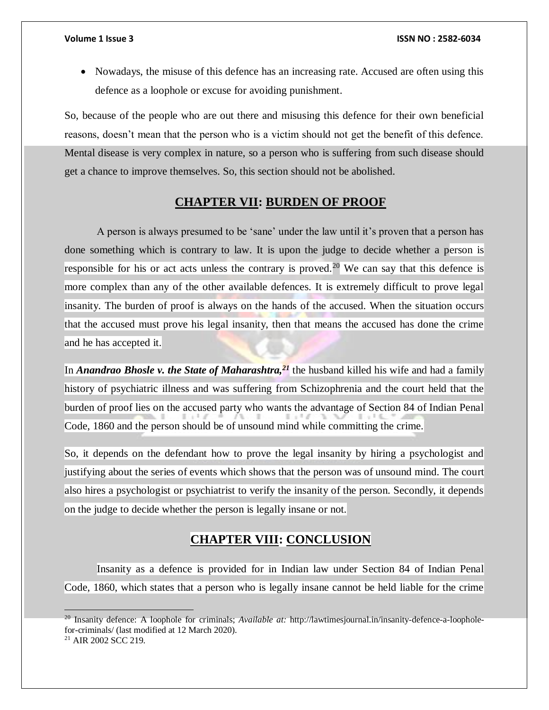• Nowadays, the misuse of this defence has an increasing rate. Accused are often using this defence as a loophole or excuse for avoiding punishment.

So, because of the people who are out there and misusing this defence for their own beneficial reasons, doesn't mean that the person who is a victim should not get the benefit of this defence. Mental disease is very complex in nature, so a person who is suffering from such disease should get a chance to improve themselves. So, this section should not be abolished.

# **CHAPTER VII: BURDEN OF PROOF**

A person is always presumed to be 'sane' under the law until it's proven that a person has done something which is contrary to law. It is upon the judge to decide whether a person is responsible for his or act acts unless the contrary is proved.<sup>20</sup> We can say that this defence is more complex than any of the other available defences. It is extremely difficult to prove legal insanity. The burden of proof is always on the hands of the accused. When the situation occurs that the accused must prove his legal insanity, then that means the accused has done the crime and he has accepted it.

In *Anandrao Bhosle v. the State of Maharashtra,<sup>21</sup>* the husband killed his wife and had a family history of psychiatric illness and was suffering from Schizophrenia and the court held that the burden of proof lies on the accused party who wants the advantage of Section 84 of Indian Penal Code, 1860 and the person should be of unsound mind while committing the crime.

So, it depends on the defendant how to prove the legal insanity by hiring a psychologist and justifying about the series of events which shows that the person was of unsound mind. The court also hires a psychologist or psychiatrist to verify the insanity of the person. Secondly, it depends on the judge to decide whether the person is legally insane or not.

# **CHAPTER VIII: CONCLUSION**

Insanity as a defence is provided for in Indian law under Section 84 of Indian Penal Code, 1860, which states that a person who is legally insane cannot be held liable for the crime

<sup>20</sup> Insanity defence: A loophole for criminals; *Available at:* http://lawtimesjournal.in/insanity-defence-a-loopholefor-criminals/ (last modified at 12 March 2020).

<sup>21</sup> AIR 2002 SCC 219.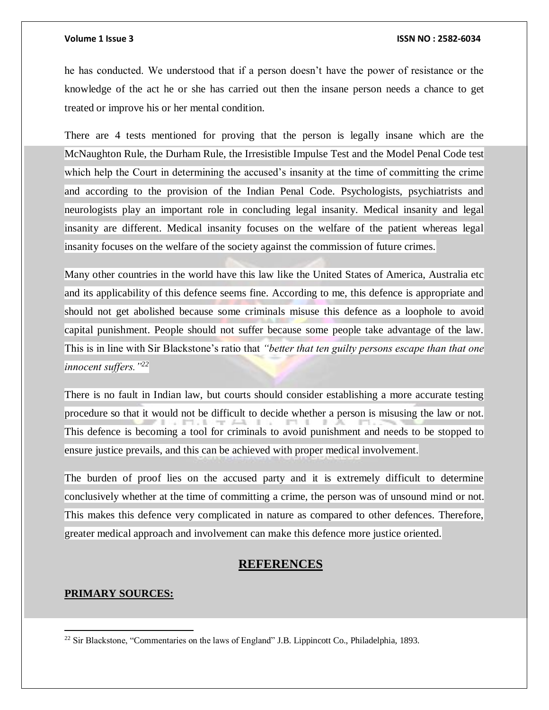he has conducted. We understood that if a person doesn't have the power of resistance or the knowledge of the act he or she has carried out then the insane person needs a chance to get treated or improve his or her mental condition.

There are 4 tests mentioned for proving that the person is legally insane which are the McNaughton Rule, the Durham Rule, the Irresistible Impulse Test and the Model Penal Code test which help the Court in determining the accused's insanity at the time of committing the crime and according to the provision of the Indian Penal Code. Psychologists, psychiatrists and neurologists play an important role in concluding legal insanity. Medical insanity and legal insanity are different. Medical insanity focuses on the welfare of the patient whereas legal insanity focuses on the welfare of the society against the commission of future crimes.

Many other countries in the world have this law like the United States of America, Australia etc and its applicability of this defence seems fine. According to me, this defence is appropriate and should not get abolished because some criminals misuse this defence as a loophole to avoid capital punishment. People should not suffer because some people take advantage of the law. This is in line with Sir Blackstone's ratio that *"better that ten guilty persons escape than that one innocent suffers."<sup>22</sup>*

There is no fault in Indian law, but courts should consider establishing a more accurate testing procedure so that it would not be difficult to decide whether a person is misusing the law or not. This defence is becoming a tool for criminals to avoid punishment and needs to be stopped to ensure justice prevails, and this can be achieved with proper medical involvement.

The burden of proof lies on the accused party and it is extremely difficult to determine conclusively whether at the time of committing a crime, the person was of unsound mind or not. This makes this defence very complicated in nature as compared to other defences. Therefore, greater medical approach and involvement can make this defence more justice oriented.

### **REFERENCES**

### **PRIMARY SOURCES:**

<sup>&</sup>lt;sup>22</sup> Sir Blackstone, "Commentaries on the laws of England" J.B. Lippincott Co., Philadelphia, 1893.